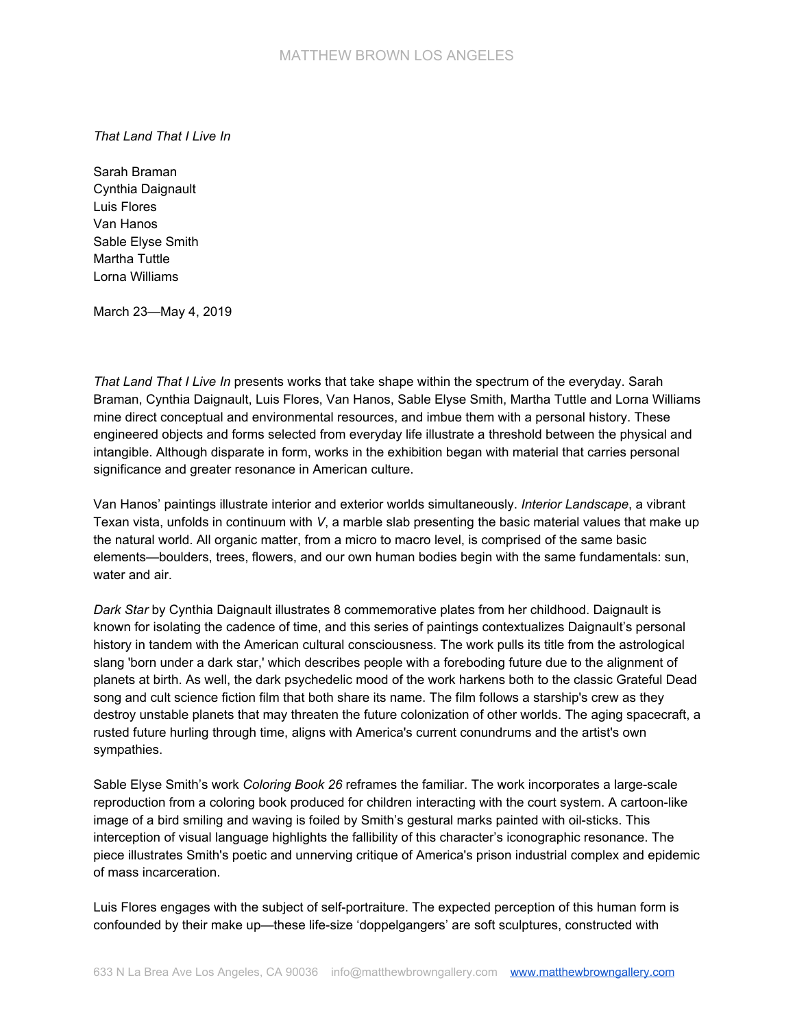*That Land That I Live In*

Sarah Braman Cynthia Daignault Luis Flores Van Hanos Sable Elyse Smith Martha Tuttle Lorna Williams

March 23—May 4, 2019

*That Land That I Live In* presents works that take shape within the spectrum of the everyday. Sarah Braman, Cynthia Daignault, Luis Flores, Van Hanos, Sable Elyse Smith, Martha Tuttle and Lorna Williams mine direct conceptual and environmental resources, and imbue them with a personal history. These engineered objects and forms selected from everyday life illustrate a threshold between the physical and intangible. Although disparate in form, works in the exhibition began with material that carries personal significance and greater resonance in American culture.

Van Hanos' paintings illustrate interior and exterior worlds simultaneously. *Interior Landscape*, a vibrant Texan vista, unfolds in continuum with *V*, a marble slab presenting the basic material values that make up the natural world. All organic matter, from a micro to macro level, is comprised of the same basic elements—boulders, trees, flowers, and our own human bodies begin with the same fundamentals: sun, water and air.

*Dark Star* by Cynthia Daignault illustrates 8 commemorative plates from her childhood. Daignault is known for isolating the cadence of time, and this series of paintings contextualizes Daignault's personal history in tandem with the American cultural consciousness. The work pulls its title from the astrological slang 'born under a dark star,' which describes people with a foreboding future due to the alignment of planets at birth. As well, the dark psychedelic mood of the work harkens both to the classic Grateful Dead song and cult science fiction film that both share its name. The film follows a starship's crew as they destroy unstable planets that may threaten the future colonization of other worlds. The aging spacecraft, a rusted future hurling through time, aligns with America's current conundrums and the artist's own sympathies.

Sable Elyse Smith's work *Coloring Book 26* reframes the familiar. The work incorporates a large-scale reproduction from a coloring book produced for children interacting with the court system. A cartoon-like image of a bird smiling and waving is foiled by Smith's gestural marks painted with oil-sticks. This interception of visual language highlights the fallibility of this character's iconographic resonance. The piece illustrates Smith's poetic and unnerving critique of America's prison industrial complex and epidemic of mass incarceration.

Luis Flores engages with the subject of self-portraiture. The expected perception of this human form is confounded by their make up—these life-size 'doppelgangers' are soft sculptures, constructed with